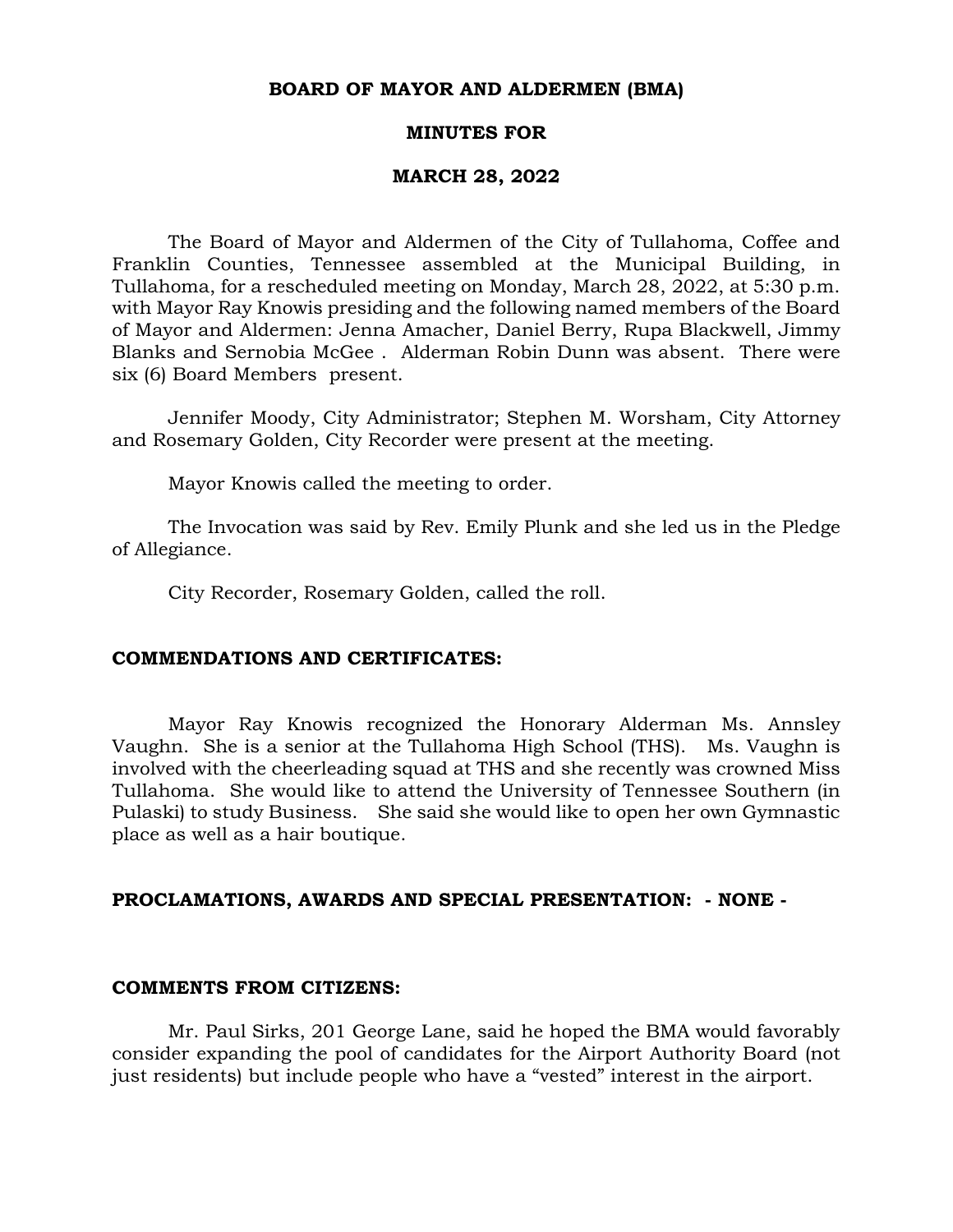### **BOARD OF MAYOR AND ALDERMEN (BMA)**

### **MINUTES FOR**

### **MARCH 28, 2022**

The Board of Mayor and Aldermen of the City of Tullahoma, Coffee and Franklin Counties, Tennessee assembled at the Municipal Building, in Tullahoma, for a rescheduled meeting on Monday, March 28, 2022, at 5:30 p.m. with Mayor Ray Knowis presiding and the following named members of the Board of Mayor and Aldermen: Jenna Amacher, Daniel Berry, Rupa Blackwell, Jimmy Blanks and Sernobia McGee . Alderman Robin Dunn was absent. There were six (6) Board Members present.

Jennifer Moody, City Administrator; Stephen M. Worsham, City Attorney and Rosemary Golden, City Recorder were present at the meeting.

Mayor Knowis called the meeting to order.

The Invocation was said by Rev. Emily Plunk and she led us in the Pledge of Allegiance.

City Recorder, Rosemary Golden, called the roll.

### **COMMENDATIONS AND CERTIFICATES:**

Mayor Ray Knowis recognized the Honorary Alderman Ms. Annsley Vaughn. She is a senior at the Tullahoma High School (THS). Ms. Vaughn is involved with the cheerleading squad at THS and she recently was crowned Miss Tullahoma. She would like to attend the University of Tennessee Southern (in Pulaski) to study Business. She said she would like to open her own Gymnastic place as well as a hair boutique.

## **PROCLAMATIONS, AWARDS AND SPECIAL PRESENTATION: - NONE -**

#### **COMMENTS FROM CITIZENS:**

Mr. Paul Sirks, 201 George Lane, said he hoped the BMA would favorably consider expanding the pool of candidates for the Airport Authority Board (not just residents) but include people who have a "vested" interest in the airport.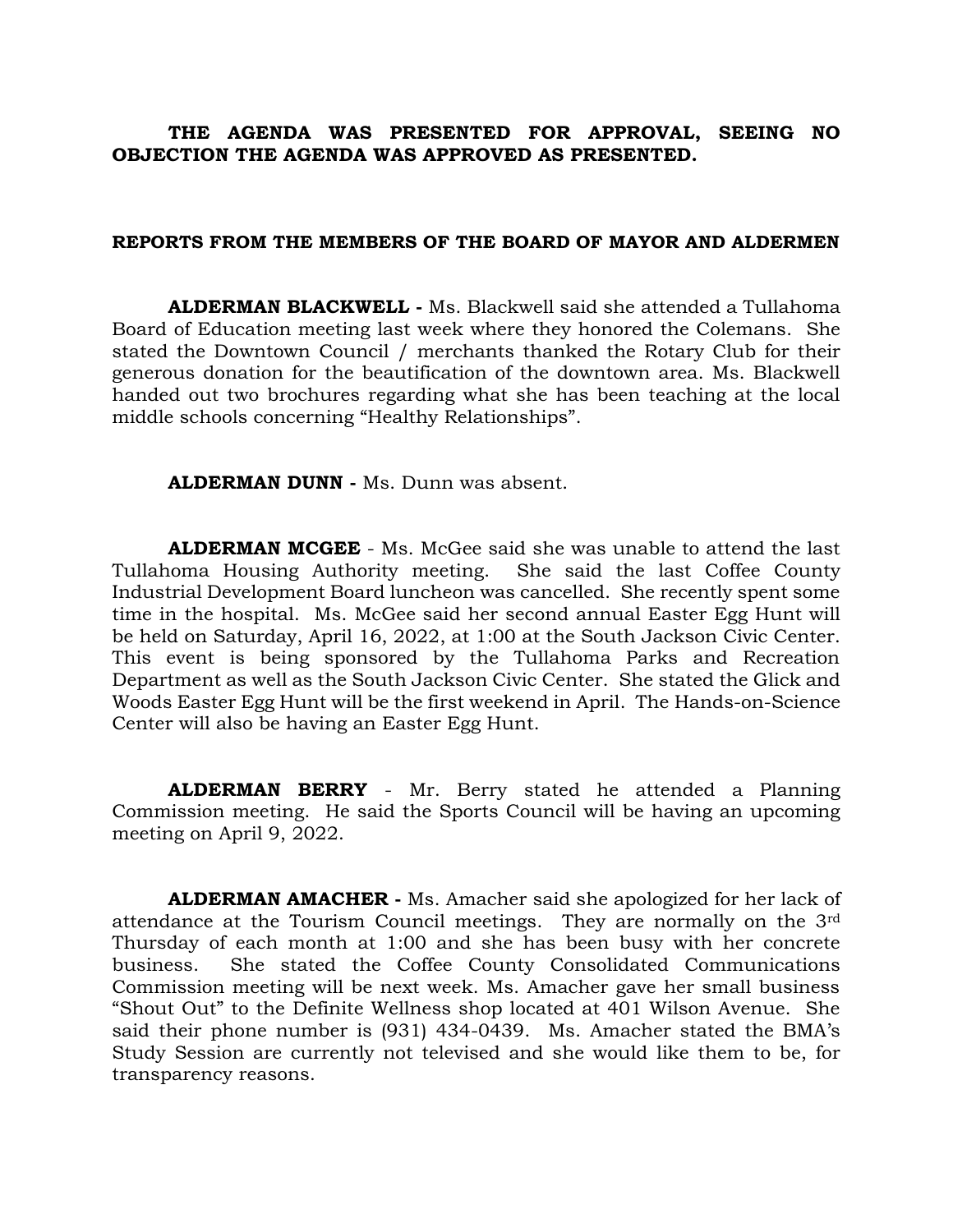## **THE AGENDA WAS PRESENTED FOR APPROVAL, SEEING NO OBJECTION THE AGENDA WAS APPROVED AS PRESENTED.**

### **REPORTS FROM THE MEMBERS OF THE BOARD OF MAYOR AND ALDERMEN**

**ALDERMAN BLACKWELL -** Ms. Blackwell said she attended a Tullahoma Board of Education meeting last week where they honored the Colemans. She stated the Downtown Council / merchants thanked the Rotary Club for their generous donation for the beautification of the downtown area. Ms. Blackwell handed out two brochures regarding what she has been teaching at the local middle schools concerning "Healthy Relationships".

**ALDERMAN DUNN -** Ms. Dunn was absent.

**ALDERMAN MCGEE** - Ms. McGee said she was unable to attend the last Tullahoma Housing Authority meeting. She said the last Coffee County Industrial Development Board luncheon was cancelled. She recently spent some time in the hospital. Ms. McGee said her second annual Easter Egg Hunt will be held on Saturday, April 16, 2022, at 1:00 at the South Jackson Civic Center. This event is being sponsored by the Tullahoma Parks and Recreation Department as well as the South Jackson Civic Center. She stated the Glick and Woods Easter Egg Hunt will be the first weekend in April. The Hands-on-Science Center will also be having an Easter Egg Hunt.

**ALDERMAN BERRY** - Mr. Berry stated he attended a Planning Commission meeting. He said the Sports Council will be having an upcoming meeting on April 9, 2022.

**ALDERMAN AMACHER -** Ms. Amacher said she apologized for her lack of attendance at the Tourism Council meetings. They are normally on the 3rd Thursday of each month at 1:00 and she has been busy with her concrete business. She stated the Coffee County Consolidated Communications Commission meeting will be next week. Ms. Amacher gave her small business "Shout Out" to the Definite Wellness shop located at 401 Wilson Avenue. She said their phone number is (931) 434-0439. Ms. Amacher stated the BMA's Study Session are currently not televised and she would like them to be, for transparency reasons.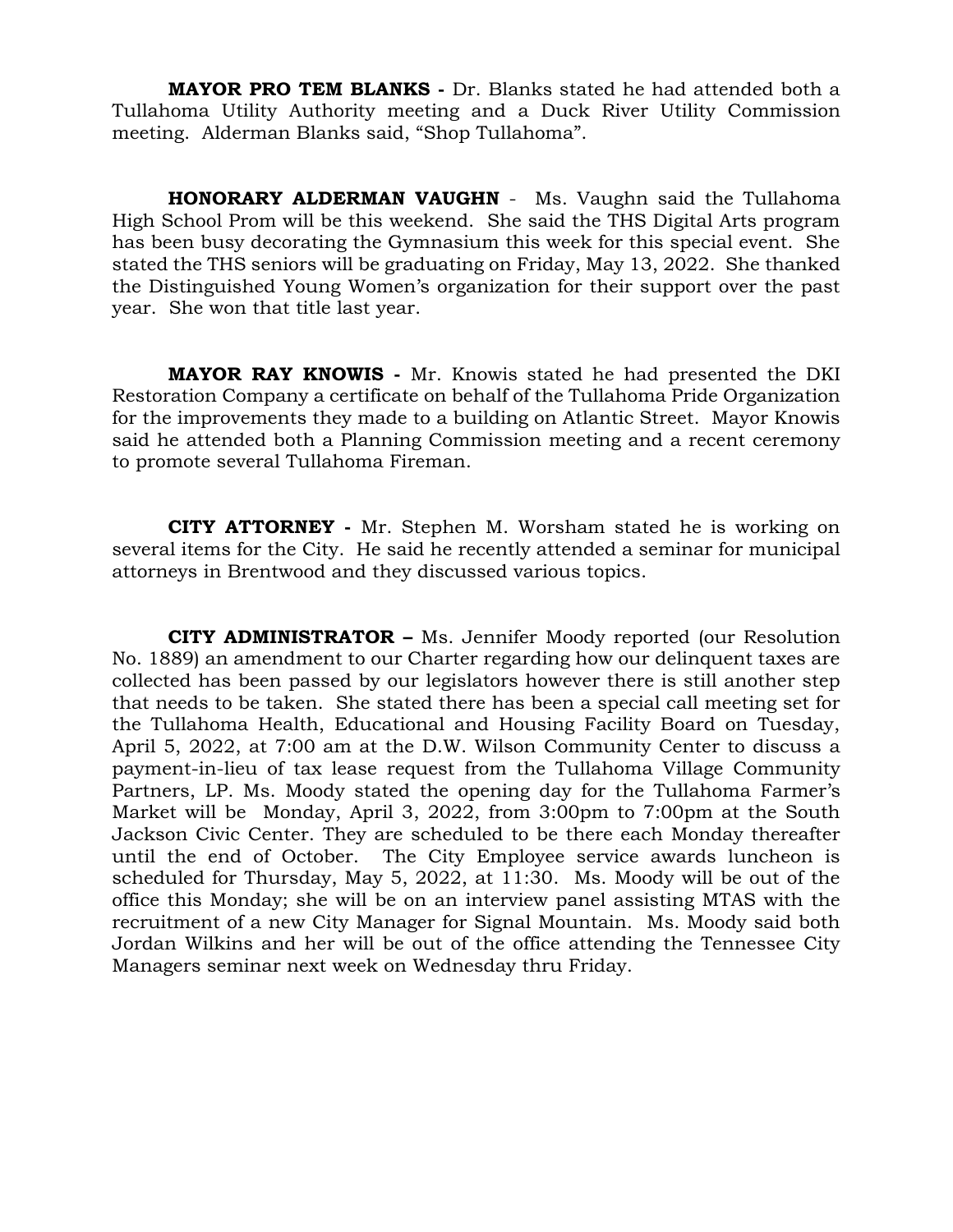**MAYOR PRO TEM BLANKS -** Dr. Blanks stated he had attended both a Tullahoma Utility Authority meeting and a Duck River Utility Commission meeting. Alderman Blanks said, "Shop Tullahoma".

**HONORARY ALDERMAN VAUGHN** - Ms. Vaughn said the Tullahoma High School Prom will be this weekend. She said the THS Digital Arts program has been busy decorating the Gymnasium this week for this special event. She stated the THS seniors will be graduating on Friday, May 13, 2022. She thanked the Distinguished Young Women's organization for their support over the past year. She won that title last year.

**MAYOR RAY KNOWIS -** Mr. Knowis stated he had presented the DKI Restoration Company a certificate on behalf of the Tullahoma Pride Organization for the improvements they made to a building on Atlantic Street. Mayor Knowis said he attended both a Planning Commission meeting and a recent ceremony to promote several Tullahoma Fireman.

 **CITY ATTORNEY -** Mr. Stephen M. Worsham stated he is working on several items for the City. He said he recently attended a seminar for municipal attorneys in Brentwood and they discussed various topics.

**CITY ADMINISTRATOR –** Ms. Jennifer Moody reported (our Resolution No. 1889) an amendment to our Charter regarding how our delinquent taxes are collected has been passed by our legislators however there is still another step that needs to be taken. She stated there has been a special call meeting set for the Tullahoma Health, Educational and Housing Facility Board on Tuesday, April 5, 2022, at 7:00 am at the D.W. Wilson Community Center to discuss a payment-in-lieu of tax lease request from the Tullahoma Village Community Partners, LP. Ms. Moody stated the opening day for the Tullahoma Farmer's Market will be Monday, April 3, 2022, from 3:00pm to 7:00pm at the South Jackson Civic Center. They are scheduled to be there each Monday thereafter until the end of October. The City Employee service awards luncheon is scheduled for Thursday, May 5, 2022, at 11:30. Ms. Moody will be out of the office this Monday; she will be on an interview panel assisting MTAS with the recruitment of a new City Manager for Signal Mountain. Ms. Moody said both Jordan Wilkins and her will be out of the office attending the Tennessee City Managers seminar next week on Wednesday thru Friday.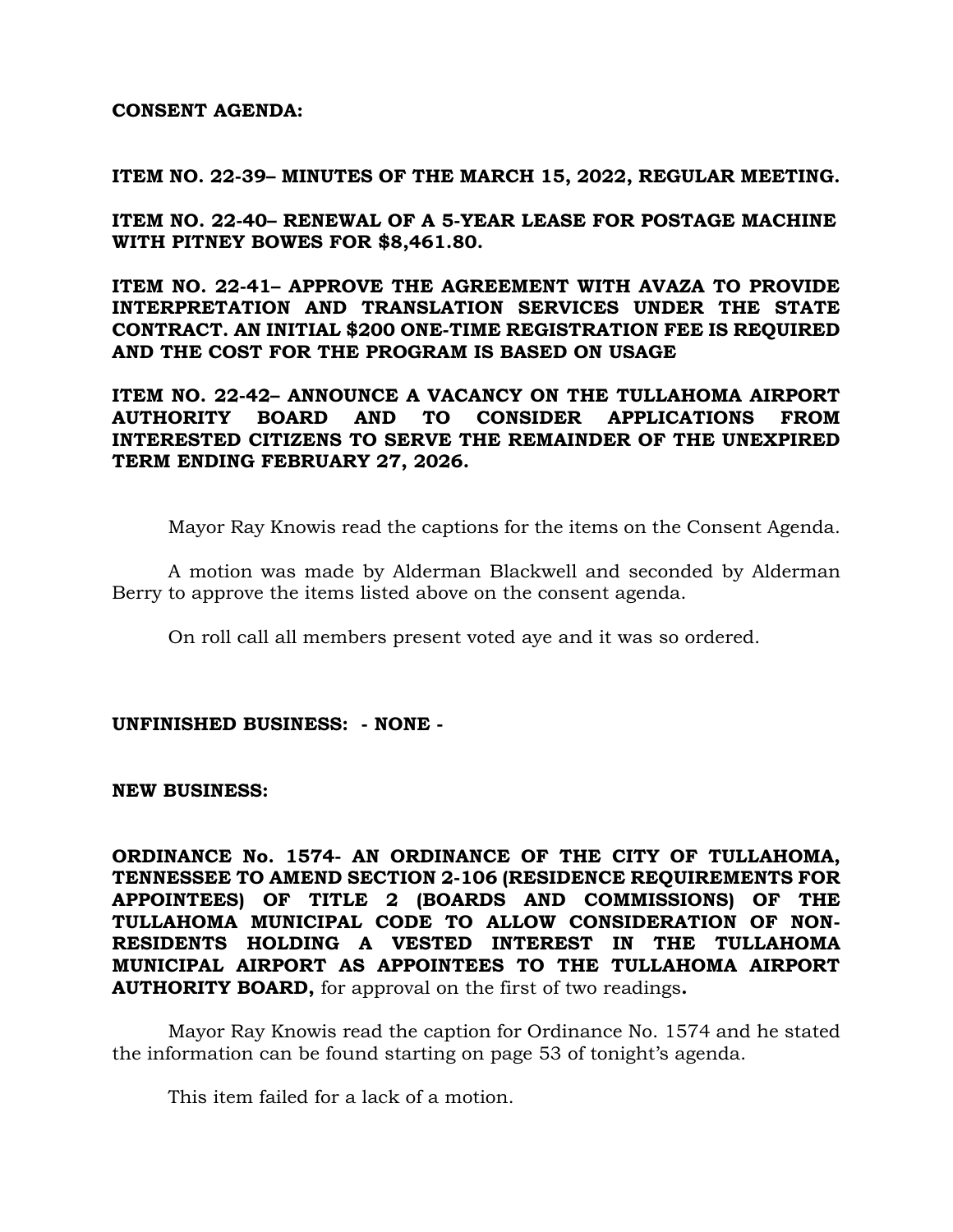## **CONSENT AGENDA:**

**ITEM NO. 22-39– MINUTES OF THE MARCH 15, 2022, REGULAR MEETING.**

**ITEM NO. 22-40– RENEWAL OF A 5-YEAR LEASE FOR POSTAGE MACHINE WITH PITNEY BOWES FOR \$8,461.80.** 

**ITEM NO. 22-41– APPROVE THE AGREEMENT WITH AVAZA TO PROVIDE INTERPRETATION AND TRANSLATION SERVICES UNDER THE STATE CONTRACT. AN INITIAL \$200 ONE-TIME REGISTRATION FEE IS REQUIRED AND THE COST FOR THE PROGRAM IS BASED ON USAGE**

**ITEM NO. 22-42– ANNOUNCE A VACANCY ON THE TULLAHOMA AIRPORT AUTHORITY BOARD AND TO CONSIDER APPLICATIONS FROM INTERESTED CITIZENS TO SERVE THE REMAINDER OF THE UNEXPIRED TERM ENDING FEBRUARY 27, 2026.**

Mayor Ray Knowis read the captions for the items on the Consent Agenda.

A motion was made by Alderman Blackwell and seconded by Alderman Berry to approve the items listed above on the consent agenda.

On roll call all members present voted aye and it was so ordered.

**UNFINISHED BUSINESS: - NONE -**

**NEW BUSINESS:**

**ORDINANCE No. 1574- AN ORDINANCE OF THE CITY OF TULLAHOMA, TENNESSEE TO AMEND SECTION 2-106 (RESIDENCE REQUIREMENTS FOR APPOINTEES) OF TITLE 2 (BOARDS AND COMMISSIONS) OF THE TULLAHOMA MUNICIPAL CODE TO ALLOW CONSIDERATION OF NON-RESIDENTS HOLDING A VESTED INTEREST IN THE TULLAHOMA MUNICIPAL AIRPORT AS APPOINTEES TO THE TULLAHOMA AIRPORT AUTHORITY BOARD,** for approval on the first of two readings**.**

Mayor Ray Knowis read the caption for Ordinance No. 1574 and he stated the information can be found starting on page 53 of tonight's agenda.

This item failed for a lack of a motion.